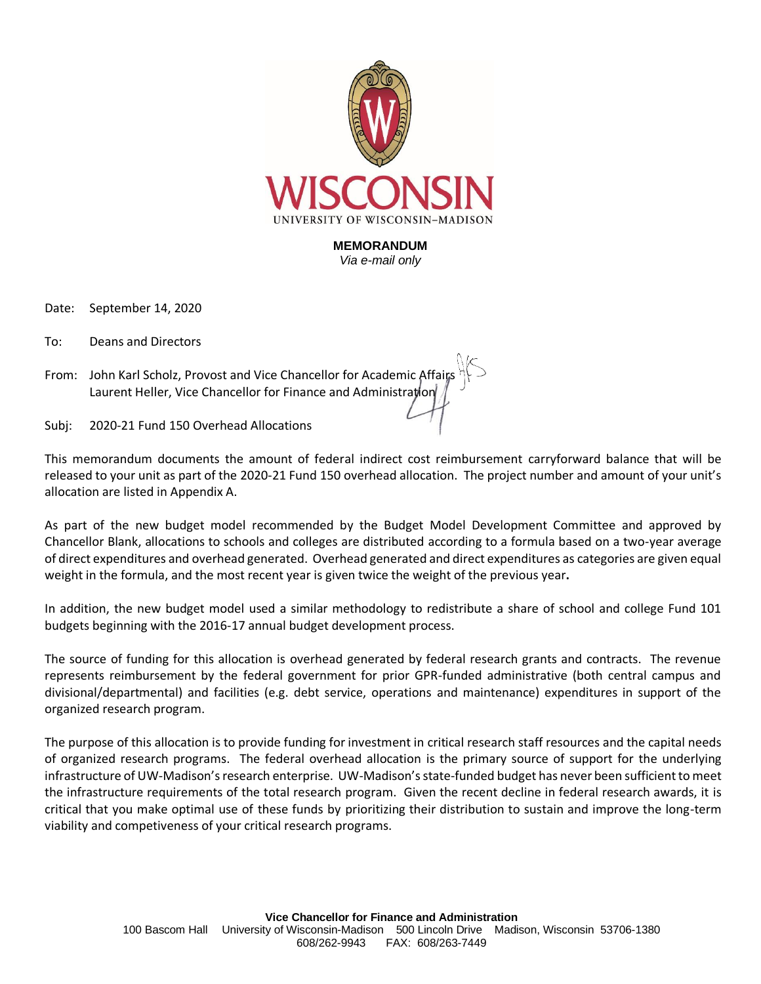

**MEMORANDUM** *Via e-mail only*

Date: September 14, 2020

To: Deans and Directors

From: John Karl Scholz, Provost and Vice Chancellor for Academic Affair Laurent Heller, Vice Chancellor for Finance and Administration

Subj: 2020-21 Fund 150 Overhead Allocations

This memorandum documents the amount of federal indirect cost reimbursement carryforward balance that will be released to your unit as part of the 2020-21 Fund 150 overhead allocation. The project number and amount of your unit's allocation are listed in Appendix A.

As part of the new budget model recommended by the Budget Model Development Committee and approved by Chancellor Blank, allocations to schools and colleges are distributed according to a formula based on a two-year average of direct expenditures and overhead generated. Overhead generated and direct expenditures as categories are given equal weight in the formula, and the most recent year is given twice the weight of the previous year**.** 

In addition, the new budget model used a similar methodology to redistribute a share of school and college Fund 101 budgets beginning with the 2016-17 annual budget development process.

The source of funding for this allocation is overhead generated by federal research grants and contracts. The revenue represents reimbursement by the federal government for prior GPR-funded administrative (both central campus and divisional/departmental) and facilities (e.g. debt service, operations and maintenance) expenditures in support of the organized research program.

The purpose of this allocation is to provide funding for investment in critical research staff resources and the capital needs of organized research programs. The federal overhead allocation is the primary source of support for the underlying infrastructure of UW-Madison's research enterprise. UW-Madison's state-funded budget has never been sufficient to meet the infrastructure requirements of the total research program. Given the recent decline in federal research awards, it is critical that you make optimal use of these funds by prioritizing their distribution to sustain and improve the long-term viability and competiveness of your critical research programs.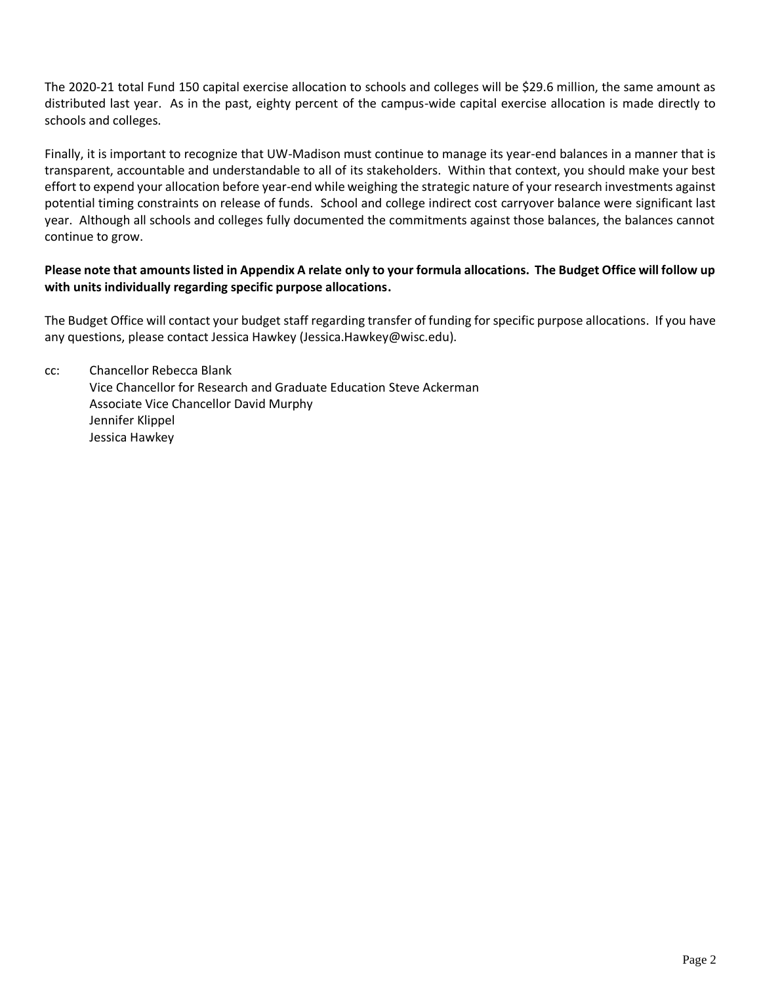The 2020-21 total Fund 150 capital exercise allocation to schools and colleges will be \$29.6 million, the same amount as distributed last year. As in the past, eighty percent of the campus-wide capital exercise allocation is made directly to schools and colleges.

Finally, it is important to recognize that UW-Madison must continue to manage its year-end balances in a manner that is transparent, accountable and understandable to all of its stakeholders. Within that context, you should make your best effort to expend your allocation before year-end while weighing the strategic nature of your research investments against potential timing constraints on release of funds. School and college indirect cost carryover balance were significant last year. Although all schools and colleges fully documented the commitments against those balances, the balances cannot continue to grow.

## **Please note that amounts listed in Appendix A relate only to your formula allocations. The Budget Office will follow up with units individually regarding specific purpose allocations.**

The Budget Office will contact your budget staff regarding transfer of funding for specific purpose allocations. If you have any questions, please contact Jessica Hawkey (Jessica.Hawkey@wisc.edu).

cc: Chancellor Rebecca Blank Vice Chancellor for Research and Graduate Education Steve Ackerman Associate Vice Chancellor David Murphy Jennifer Klippel Jessica Hawkey